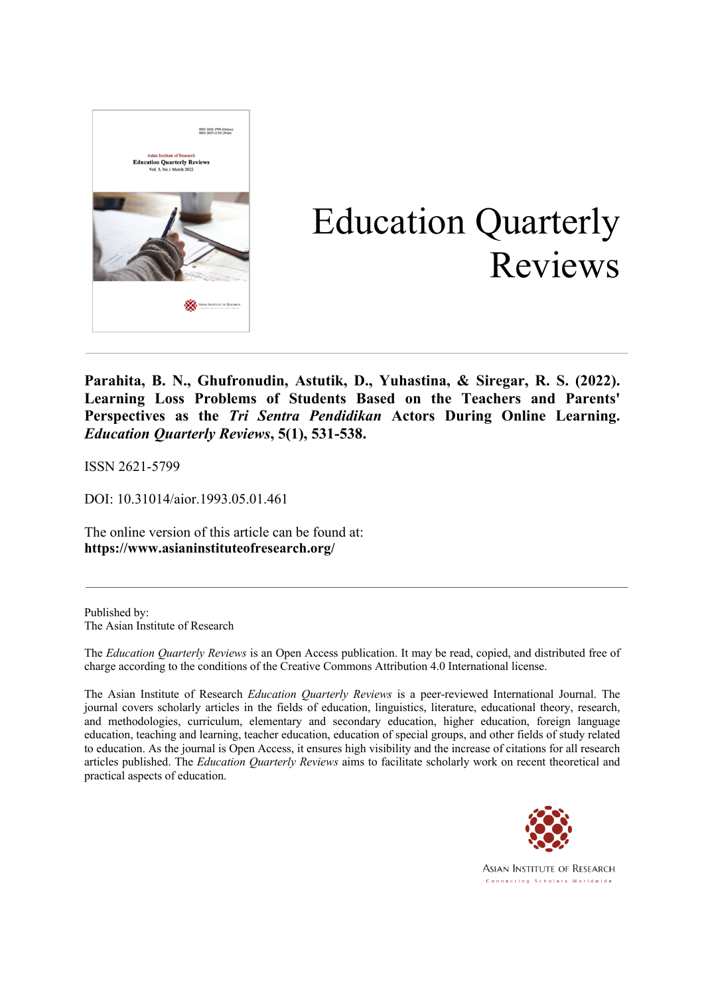

# Education Quarterly Reviews

**Parahita, B. N., Ghufronudin, Astutik, D., Yuhastina, & Siregar, R. S. (2022). Learning Loss Problems of Students Based on the Teachers and Parents' Perspectives as the** *Tri Sentra Pendidikan* **Actors During Online Learning.** *Education Quarterly Reviews***, 5(1), 531-538.**

ISSN 2621-5799

DOI: 10.31014/aior.1993.05.01.461

The online version of this article can be found at: **https://www.asianinstituteofresearch.org/**

Published by: The Asian Institute of Research

The *Education Quarterly Reviews* is an Open Access publication. It may be read, copied, and distributed free of charge according to the conditions of the Creative Commons Attribution 4.0 International license.

The Asian Institute of Research *Education Quarterly Reviews* is a peer-reviewed International Journal. The journal covers scholarly articles in the fields of education, linguistics, literature, educational theory, research, and methodologies, curriculum, elementary and secondary education, higher education, foreign language education, teaching and learning, teacher education, education of special groups, and other fields of study related to education. As the journal is Open Access, it ensures high visibility and the increase of citations for all research articles published. The *Education Quarterly Reviews* aims to facilitate scholarly work on recent theoretical and practical aspects of education.



**ASIAN INSTITUTE OF RESEARCH** Connecting Scholars Worldwide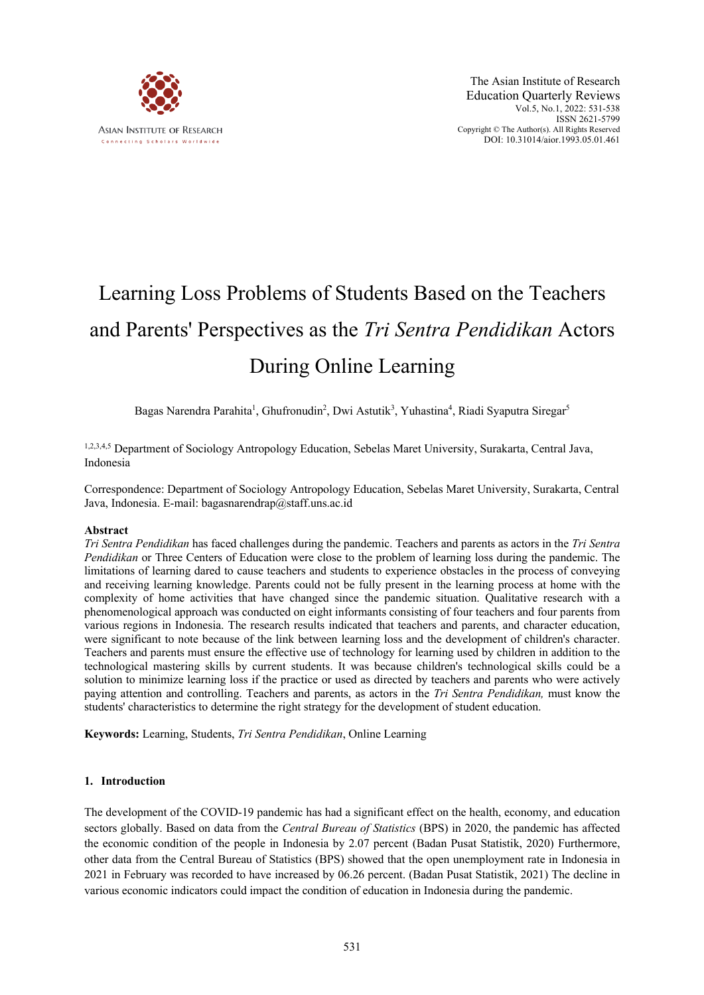

# Learning Loss Problems of Students Based on the Teachers and Parents' Perspectives as the *Tri Sentra Pendidikan* Actors During Online Learning

Bagas Narendra Parahita<sup>1</sup>, Ghufronudin<sup>2</sup>, Dwi Astutik<sup>3</sup>, Yuhastina<sup>4</sup>, Riadi Syaputra Siregar<sup>5</sup>

1,2,3,4,5 Department of Sociology Antropology Education, Sebelas Maret University, Surakarta, Central Java, Indonesia

Correspondence: Department of Sociology Antropology Education, Sebelas Maret University, Surakarta, Central Java, Indonesia. E-mail: bagasnarendrap@staff.uns.ac.id

### **Abstract**

*Tri Sentra Pendidikan* has faced challenges during the pandemic. Teachers and parents as actors in the *Tri Sentra Pendidikan* or Three Centers of Education were close to the problem of learning loss during the pandemic. The limitations of learning dared to cause teachers and students to experience obstacles in the process of conveying and receiving learning knowledge. Parents could not be fully present in the learning process at home with the complexity of home activities that have changed since the pandemic situation. Qualitative research with a phenomenological approach was conducted on eight informants consisting of four teachers and four parents from various regions in Indonesia. The research results indicated that teachers and parents, and character education, were significant to note because of the link between learning loss and the development of children's character. Teachers and parents must ensure the effective use of technology for learning used by children in addition to the technological mastering skills by current students. It was because children's technological skills could be a solution to minimize learning loss if the practice or used as directed by teachers and parents who were actively paying attention and controlling. Teachers and parents, as actors in the *Tri Sentra Pendidikan,* must know the students' characteristics to determine the right strategy for the development of student education.

**Keywords:** Learning, Students, *Tri Sentra Pendidikan*, Online Learning

### **1. Introduction**

The development of the COVID-19 pandemic has had a significant effect on the health, economy, and education sectors globally. Based on data from the *Central Bureau of Statistics* (BPS) in 2020, the pandemic has affected the economic condition of the people in Indonesia by 2.07 percent (Badan Pusat Statistik, 2020) Furthermore, other data from the Central Bureau of Statistics (BPS) showed that the open unemployment rate in Indonesia in 2021 in February was recorded to have increased by 06.26 percent. (Badan Pusat Statistik, 2021) The decline in various economic indicators could impact the condition of education in Indonesia during the pandemic.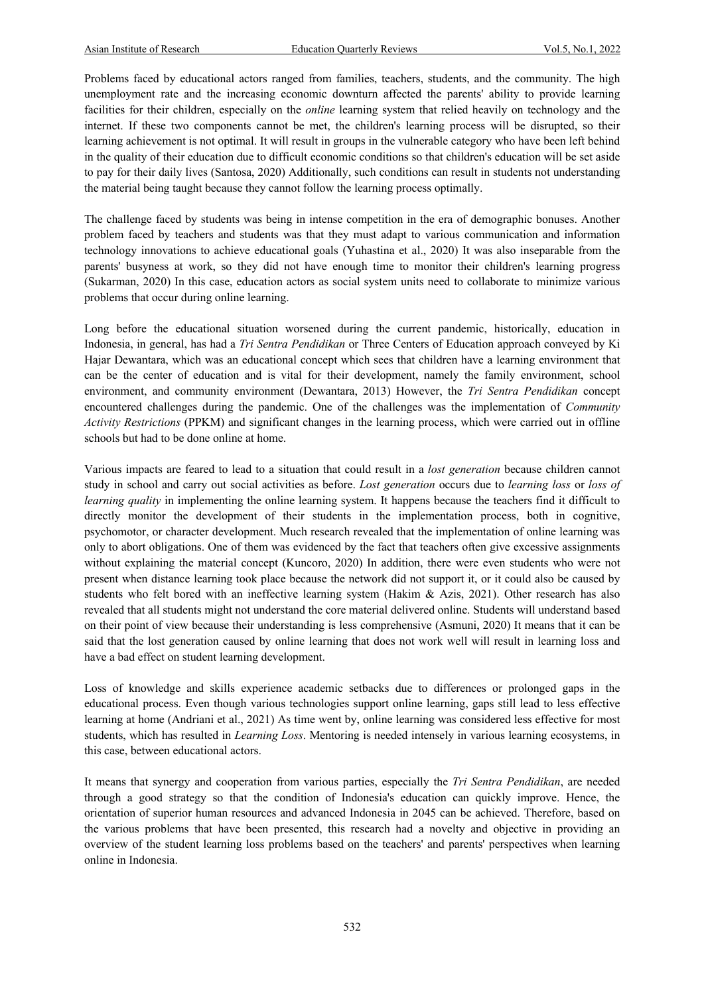Problems faced by educational actors ranged from families, teachers, students, and the community. The high unemployment rate and the increasing economic downturn affected the parents' ability to provide learning facilities for their children, especially on the *online* learning system that relied heavily on technology and the internet. If these two components cannot be met, the children's learning process will be disrupted, so their learning achievement is not optimal. It will result in groups in the vulnerable category who have been left behind in the quality of their education due to difficult economic conditions so that children's education will be set aside to pay for their daily lives (Santosa, 2020) Additionally, such conditions can result in students not understanding the material being taught because they cannot follow the learning process optimally.

The challenge faced by students was being in intense competition in the era of demographic bonuses. Another problem faced by teachers and students was that they must adapt to various communication and information technology innovations to achieve educational goals (Yuhastina et al., 2020) It was also inseparable from the parents' busyness at work, so they did not have enough time to monitor their children's learning progress (Sukarman, 2020) In this case, education actors as social system units need to collaborate to minimize various problems that occur during online learning.

Long before the educational situation worsened during the current pandemic, historically, education in Indonesia, in general, has had a *Tri Sentra Pendidikan* or Three Centers of Education approach conveyed by Ki Hajar Dewantara, which was an educational concept which sees that children have a learning environment that can be the center of education and is vital for their development, namely the family environment, school environment, and community environment (Dewantara, 2013) However, the *Tri Sentra Pendidikan* concept encountered challenges during the pandemic. One of the challenges was the implementation of *Community Activity Restrictions* (PPKM) and significant changes in the learning process, which were carried out in offline schools but had to be done online at home.

Various impacts are feared to lead to a situation that could result in a *lost generation* because children cannot study in school and carry out social activities as before. *Lost generation* occurs due to *learning loss* or *loss of learning quality* in implementing the online learning system. It happens because the teachers find it difficult to directly monitor the development of their students in the implementation process, both in cognitive, psychomotor, or character development. Much research revealed that the implementation of online learning was only to abort obligations. One of them was evidenced by the fact that teachers often give excessive assignments without explaining the material concept (Kuncoro, 2020) In addition, there were even students who were not present when distance learning took place because the network did not support it, or it could also be caused by students who felt bored with an ineffective learning system (Hakim & Azis, 2021). Other research has also revealed that all students might not understand the core material delivered online. Students will understand based on their point of view because their understanding is less comprehensive (Asmuni, 2020) It means that it can be said that the lost generation caused by online learning that does not work well will result in learning loss and have a bad effect on student learning development.

Loss of knowledge and skills experience academic setbacks due to differences or prolonged gaps in the educational process. Even though various technologies support online learning, gaps still lead to less effective learning at home (Andriani et al., 2021) As time went by, online learning was considered less effective for most students, which has resulted in *Learning Loss*. Mentoring is needed intensely in various learning ecosystems, in this case, between educational actors.

It means that synergy and cooperation from various parties, especially the *Tri Sentra Pendidikan*, are needed through a good strategy so that the condition of Indonesia's education can quickly improve. Hence, the orientation of superior human resources and advanced Indonesia in 2045 can be achieved. Therefore, based on the various problems that have been presented, this research had a novelty and objective in providing an overview of the student learning loss problems based on the teachers' and parents' perspectives when learning online in Indonesia.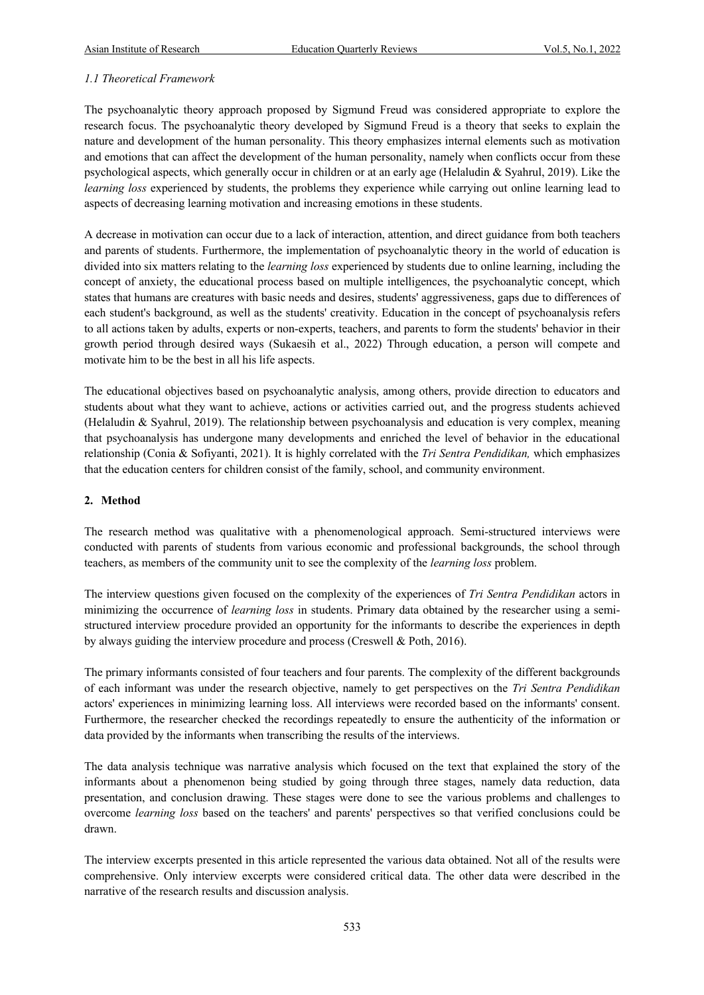# *1.1 Theoretical Framework*

The psychoanalytic theory approach proposed by Sigmund Freud was considered appropriate to explore the research focus. The psychoanalytic theory developed by Sigmund Freud is a theory that seeks to explain the nature and development of the human personality. This theory emphasizes internal elements such as motivation and emotions that can affect the development of the human personality, namely when conflicts occur from these psychological aspects, which generally occur in children or at an early age (Helaludin & Syahrul, 2019). Like the *learning loss* experienced by students, the problems they experience while carrying out online learning lead to aspects of decreasing learning motivation and increasing emotions in these students.

A decrease in motivation can occur due to a lack of interaction, attention, and direct guidance from both teachers and parents of students. Furthermore, the implementation of psychoanalytic theory in the world of education is divided into six matters relating to the *learning loss* experienced by students due to online learning, including the concept of anxiety, the educational process based on multiple intelligences, the psychoanalytic concept, which states that humans are creatures with basic needs and desires, students' aggressiveness, gaps due to differences of each student's background, as well as the students' creativity. Education in the concept of psychoanalysis refers to all actions taken by adults, experts or non-experts, teachers, and parents to form the students' behavior in their growth period through desired ways (Sukaesih et al., 2022) Through education, a person will compete and motivate him to be the best in all his life aspects.

The educational objectives based on psychoanalytic analysis, among others, provide direction to educators and students about what they want to achieve, actions or activities carried out, and the progress students achieved (Helaludin & Syahrul, 2019). The relationship between psychoanalysis and education is very complex, meaning that psychoanalysis has undergone many developments and enriched the level of behavior in the educational relationship (Conia & Sofiyanti, 2021). It is highly correlated with the *Tri Sentra Pendidikan,* which emphasizes that the education centers for children consist of the family, school, and community environment.

### **2. Method**

The research method was qualitative with a phenomenological approach. Semi-structured interviews were conducted with parents of students from various economic and professional backgrounds, the school through teachers, as members of the community unit to see the complexity of the *learning loss* problem.

The interview questions given focused on the complexity of the experiences of *Tri Sentra Pendidikan* actors in minimizing the occurrence of *learning loss* in students. Primary data obtained by the researcher using a semistructured interview procedure provided an opportunity for the informants to describe the experiences in depth by always guiding the interview procedure and process (Creswell & Poth, 2016).

The primary informants consisted of four teachers and four parents. The complexity of the different backgrounds of each informant was under the research objective, namely to get perspectives on the *Tri Sentra Pendidikan* actors' experiences in minimizing learning loss. All interviews were recorded based on the informants' consent. Furthermore, the researcher checked the recordings repeatedly to ensure the authenticity of the information or data provided by the informants when transcribing the results of the interviews.

The data analysis technique was narrative analysis which focused on the text that explained the story of the informants about a phenomenon being studied by going through three stages, namely data reduction, data presentation, and conclusion drawing. These stages were done to see the various problems and challenges to overcome *learning loss* based on the teachers' and parents' perspectives so that verified conclusions could be drawn.

The interview excerpts presented in this article represented the various data obtained. Not all of the results were comprehensive. Only interview excerpts were considered critical data. The other data were described in the narrative of the research results and discussion analysis.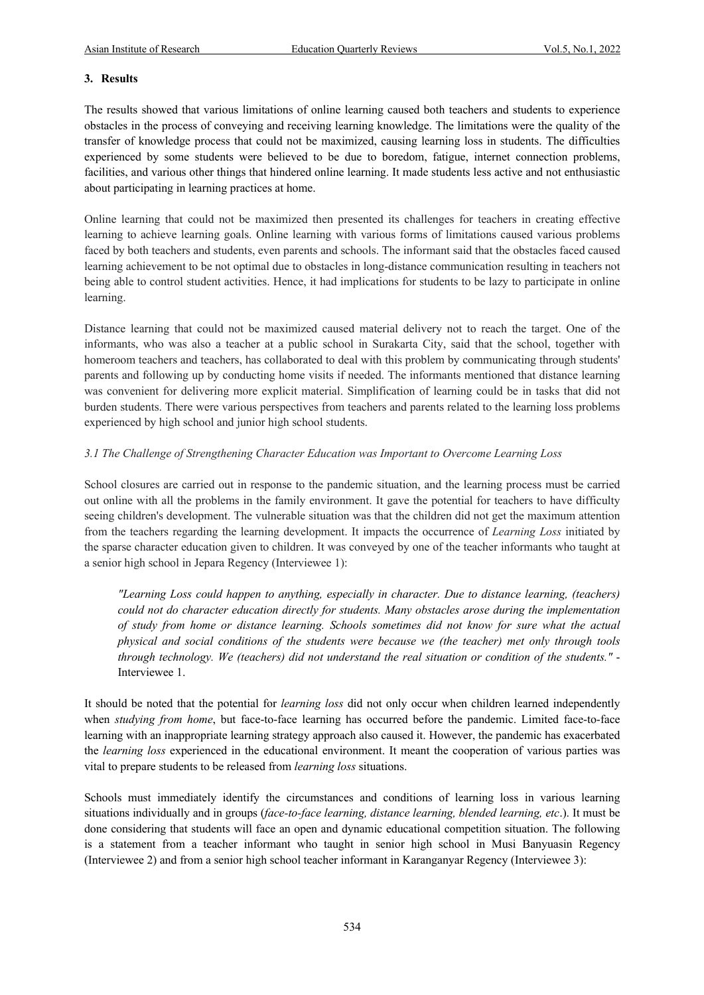### **3. Results**

The results showed that various limitations of online learning caused both teachers and students to experience obstacles in the process of conveying and receiving learning knowledge. The limitations were the quality of the transfer of knowledge process that could not be maximized, causing learning loss in students. The difficulties experienced by some students were believed to be due to boredom, fatigue, internet connection problems, facilities, and various other things that hindered online learning. It made students less active and not enthusiastic about participating in learning practices at home.

Online learning that could not be maximized then presented its challenges for teachers in creating effective learning to achieve learning goals. Online learning with various forms of limitations caused various problems faced by both teachers and students, even parents and schools. The informant said that the obstacles faced caused learning achievement to be not optimal due to obstacles in long-distance communication resulting in teachers not being able to control student activities. Hence, it had implications for students to be lazy to participate in online learning.

Distance learning that could not be maximized caused material delivery not to reach the target. One of the informants, who was also a teacher at a public school in Surakarta City, said that the school, together with homeroom teachers and teachers, has collaborated to deal with this problem by communicating through students' parents and following up by conducting home visits if needed. The informants mentioned that distance learning was convenient for delivering more explicit material. Simplification of learning could be in tasks that did not burden students. There were various perspectives from teachers and parents related to the learning loss problems experienced by high school and junior high school students.

## *3.1 The Challenge of Strengthening Character Education was Important to Overcome Learning Loss*

School closures are carried out in response to the pandemic situation, and the learning process must be carried out online with all the problems in the family environment. It gave the potential for teachers to have difficulty seeing children's development. The vulnerable situation was that the children did not get the maximum attention from the teachers regarding the learning development. It impacts the occurrence of *Learning Loss* initiated by the sparse character education given to children. It was conveyed by one of the teacher informants who taught at a senior high school in Jepara Regency (Interviewee 1):

*"Learning Loss could happen to anything, especially in character. Due to distance learning, (teachers) could not do character education directly for students. Many obstacles arose during the implementation of study from home or distance learning. Schools sometimes did not know for sure what the actual physical and social conditions of the students were because we (the teacher) met only through tools through technology. We (teachers) did not understand the real situation or condition of the students."* - Interviewee 1.

It should be noted that the potential for *learning loss* did not only occur when children learned independently when *studying from home*, but face-to-face learning has occurred before the pandemic. Limited face-to-face learning with an inappropriate learning strategy approach also caused it. However, the pandemic has exacerbated the *learning loss* experienced in the educational environment. It meant the cooperation of various parties was vital to prepare students to be released from *learning loss* situations.

Schools must immediately identify the circumstances and conditions of learning loss in various learning situations individually and in groups (*face-to-face learning, distance learning, blended learning, etc*.). It must be done considering that students will face an open and dynamic educational competition situation. The following is a statement from a teacher informant who taught in senior high school in Musi Banyuasin Regency (Interviewee 2) and from a senior high school teacher informant in Karanganyar Regency (Interviewee 3):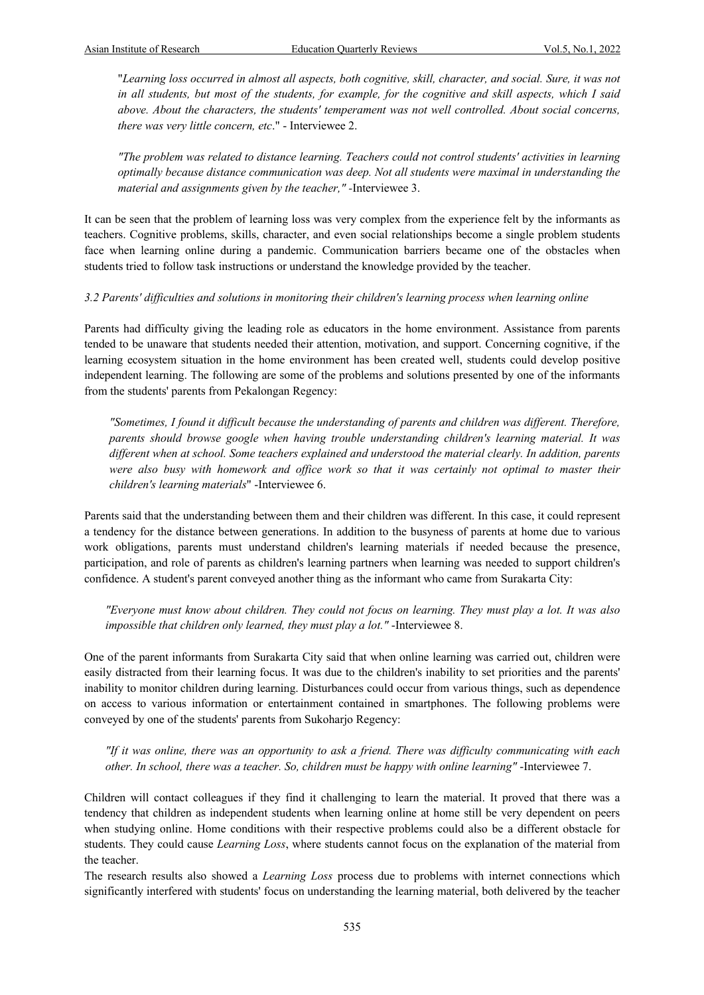"*Learning loss occurred in almost all aspects, both cognitive, skill, character, and social. Sure, it was not in all students, but most of the students, for example, for the cognitive and skill aspects, which I said above. About the characters, the students' temperament was not well controlled. About social concerns, there was very little concern, etc*." - Interviewee 2.

*"The problem was related to distance learning. Teachers could not control students' activities in learning optimally because distance communication was deep. Not all students were maximal in understanding the material and assignments given by the teacher," -*Interviewee 3.

It can be seen that the problem of learning loss was very complex from the experience felt by the informants as teachers. Cognitive problems, skills, character, and even social relationships become a single problem students face when learning online during a pandemic. Communication barriers became one of the obstacles when students tried to follow task instructions or understand the knowledge provided by the teacher.

### *3.2 Parents' difficulties and solutions in monitoring their children's learning process when learning online*

Parents had difficulty giving the leading role as educators in the home environment. Assistance from parents tended to be unaware that students needed their attention, motivation, and support. Concerning cognitive, if the learning ecosystem situation in the home environment has been created well, students could develop positive independent learning. The following are some of the problems and solutions presented by one of the informants from the students' parents from Pekalongan Regency:

*"Sometimes, I found it difficult because the understanding of parents and children was different. Therefore, parents should browse google when having trouble understanding children's learning material. It was different when at school. Some teachers explained and understood the material clearly. In addition, parents were also busy with homework and office work so that it was certainly not optimal to master their children's learning materials*" -Interviewee 6.

Parents said that the understanding between them and their children was different. In this case, it could represent a tendency for the distance between generations. In addition to the busyness of parents at home due to various work obligations, parents must understand children's learning materials if needed because the presence, participation, and role of parents as children's learning partners when learning was needed to support children's confidence. A student's parent conveyed another thing as the informant who came from Surakarta City:

*"Everyone must know about children. They could not focus on learning. They must play a lot. It was also impossible that children only learned, they must play a lot."* -Interviewee 8.

One of the parent informants from Surakarta City said that when online learning was carried out, children were easily distracted from their learning focus. It was due to the children's inability to set priorities and the parents' inability to monitor children during learning. Disturbances could occur from various things, such as dependence on access to various information or entertainment contained in smartphones. The following problems were conveyed by one of the students' parents from Sukoharjo Regency:

*"If it was online, there was an opportunity to ask a friend. There was difficulty communicating with each other. In school, there was a teacher. So, children must be happy with online learning"* -Interviewee 7.

Children will contact colleagues if they find it challenging to learn the material. It proved that there was a tendency that children as independent students when learning online at home still be very dependent on peers when studying online. Home conditions with their respective problems could also be a different obstacle for students. They could cause *Learning Loss*, where students cannot focus on the explanation of the material from the teacher.

The research results also showed a *Learning Loss* process due to problems with internet connections which significantly interfered with students' focus on understanding the learning material, both delivered by the teacher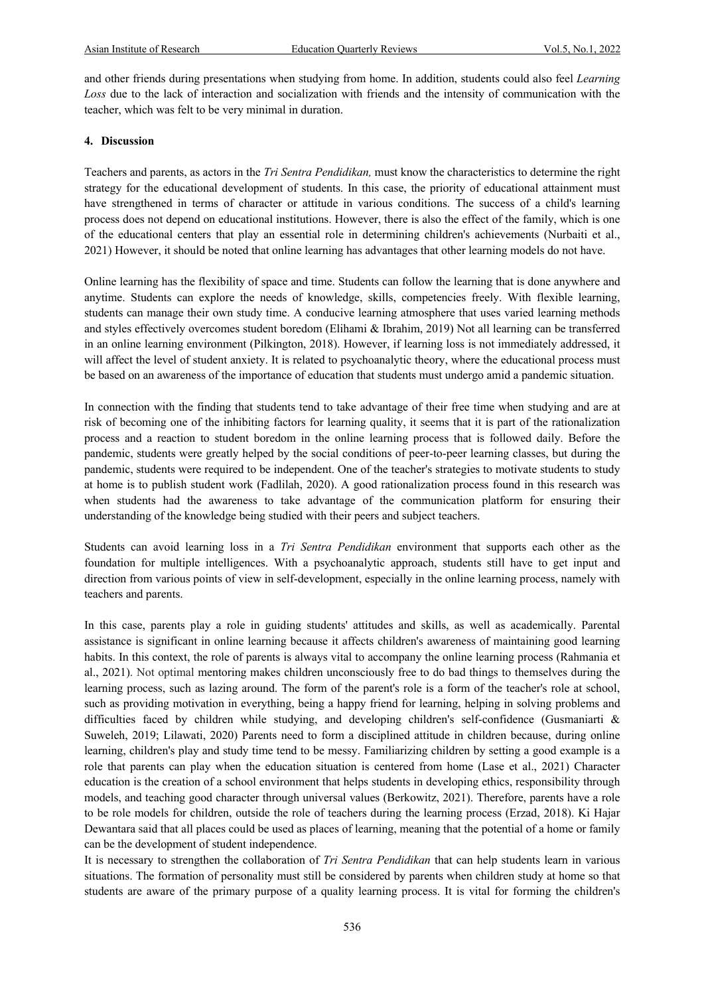and other friends during presentations when studying from home. In addition, students could also feel *Learning Loss* due to the lack of interaction and socialization with friends and the intensity of communication with the teacher, which was felt to be very minimal in duration.

#### **4. Discussion**

Teachers and parents, as actors in the *Tri Sentra Pendidikan,* must know the characteristics to determine the right strategy for the educational development of students. In this case, the priority of educational attainment must have strengthened in terms of character or attitude in various conditions. The success of a child's learning process does not depend on educational institutions. However, there is also the effect of the family, which is one of the educational centers that play an essential role in determining children's achievements (Nurbaiti et al., 2021) However, it should be noted that online learning has advantages that other learning models do not have.

Online learning has the flexibility of space and time. Students can follow the learning that is done anywhere and anytime. Students can explore the needs of knowledge, skills, competencies freely. With flexible learning, students can manage their own study time. A conducive learning atmosphere that uses varied learning methods and styles effectively overcomes student boredom (Elihami & Ibrahim, 2019) Not all learning can be transferred in an online learning environment (Pilkington, 2018). However, if learning loss is not immediately addressed, it will affect the level of student anxiety. It is related to psychoanalytic theory, where the educational process must be based on an awareness of the importance of education that students must undergo amid a pandemic situation.

In connection with the finding that students tend to take advantage of their free time when studying and are at risk of becoming one of the inhibiting factors for learning quality, it seems that it is part of the rationalization process and a reaction to student boredom in the online learning process that is followed daily. Before the pandemic, students were greatly helped by the social conditions of peer-to-peer learning classes, but during the pandemic, students were required to be independent. One of the teacher's strategies to motivate students to study at home is to publish student work (Fadlilah, 2020). A good rationalization process found in this research was when students had the awareness to take advantage of the communication platform for ensuring their understanding of the knowledge being studied with their peers and subject teachers.

Students can avoid learning loss in a *Tri Sentra Pendidikan* environment that supports each other as the foundation for multiple intelligences. With a psychoanalytic approach, students still have to get input and direction from various points of view in self-development, especially in the online learning process, namely with teachers and parents.

In this case, parents play a role in guiding students' attitudes and skills, as well as academically. Parental assistance is significant in online learning because it affects children's awareness of maintaining good learning habits. In this context, the role of parents is always vital to accompany the online learning process (Rahmania et al., 2021). Not optimal mentoring makes children unconsciously free to do bad things to themselves during the learning process, such as lazing around. The form of the parent's role is a form of the teacher's role at school, such as providing motivation in everything, being a happy friend for learning, helping in solving problems and difficulties faced by children while studying, and developing children's self-confidence (Gusmaniarti & Suweleh, 2019; Lilawati, 2020) Parents need to form a disciplined attitude in children because, during online learning, children's play and study time tend to be messy. Familiarizing children by setting a good example is a role that parents can play when the education situation is centered from home (Lase et al., 2021) Character education is the creation of a school environment that helps students in developing ethics, responsibility through models, and teaching good character through universal values (Berkowitz, 2021). Therefore, parents have a role to be role models for children, outside the role of teachers during the learning process (Erzad, 2018). Ki Hajar Dewantara said that all places could be used as places of learning, meaning that the potential of a home or family can be the development of student independence.

It is necessary to strengthen the collaboration of *Tri Sentra Pendidikan* that can help students learn in various situations. The formation of personality must still be considered by parents when children study at home so that students are aware of the primary purpose of a quality learning process. It is vital for forming the children's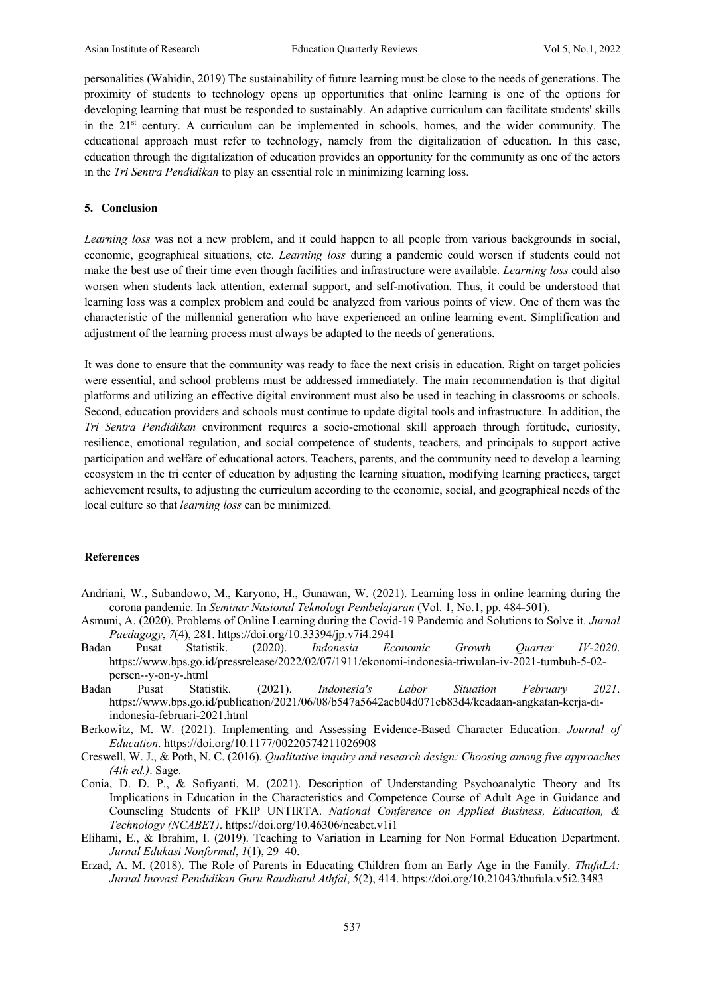personalities (Wahidin, 2019) The sustainability of future learning must be close to the needs of generations. The proximity of students to technology opens up opportunities that online learning is one of the options for developing learning that must be responded to sustainably. An adaptive curriculum can facilitate students' skills in the  $21<sup>st</sup>$  century. A curriculum can be implemented in schools, homes, and the wider community. The educational approach must refer to technology, namely from the digitalization of education. In this case, education through the digitalization of education provides an opportunity for the community as one of the actors in the *Tri Sentra Pendidikan* to play an essential role in minimizing learning loss.

#### **5. Conclusion**

*Learning loss* was not a new problem, and it could happen to all people from various backgrounds in social, economic, geographical situations, etc. *Learning loss* during a pandemic could worsen if students could not make the best use of their time even though facilities and infrastructure were available. *Learning loss* could also worsen when students lack attention, external support, and self-motivation. Thus, it could be understood that learning loss was a complex problem and could be analyzed from various points of view. One of them was the characteristic of the millennial generation who have experienced an online learning event. Simplification and adjustment of the learning process must always be adapted to the needs of generations.

It was done to ensure that the community was ready to face the next crisis in education. Right on target policies were essential, and school problems must be addressed immediately. The main recommendation is that digital platforms and utilizing an effective digital environment must also be used in teaching in classrooms or schools. Second, education providers and schools must continue to update digital tools and infrastructure. In addition, the *Tri Sentra Pendidikan* environment requires a socio-emotional skill approach through fortitude, curiosity, resilience, emotional regulation, and social competence of students, teachers, and principals to support active participation and welfare of educational actors. Teachers, parents, and the community need to develop a learning ecosystem in the tri center of education by adjusting the learning situation, modifying learning practices, target achievement results, to adjusting the curriculum according to the economic, social, and geographical needs of the local culture so that *learning loss* can be minimized.

#### **References**

- Andriani, W., Subandowo, M., Karyono, H., Gunawan, W. (2021). Learning loss in online learning during the corona pandemic. In *Seminar Nasional Teknologi Pembelajaran* (Vol. 1, No.1, pp. 484-501).
- Asmuni, A. (2020). Problems of Online Learning during the Covid-19 Pandemic and Solutions to Solve it. *Jurnal Paedagogy*, *7*(4), 281. https://doi.org/10.33394/jp.v7i4.2941
- Badan Pusat Statistik. (2020). *Indonesia Economic Growth Quarter IV-2020*. https://www.bps.go.id/pressrelease/2022/02/07/1911/ekonomi-indonesia-triwulan-iv-2021-tumbuh-5-02 persen--y-on-y-.html
- Badan Pusat Statistik. (2021). *Indonesia's Labor Situation February 2021*. https://www.bps.go.id/publication/2021/06/08/b547a5642aeb04d071cb83d4/keadaan-angkatan-kerja-diindonesia-februari-2021.html
- Berkowitz, M. W. (2021). Implementing and Assessing Evidence-Based Character Education. *Journal of Education*. https://doi.org/10.1177/00220574211026908
- Creswell, W. J., & Poth, N. C. (2016). *Qualitative inquiry and research design: Choosing among five approaches (4th ed.)*. Sage.
- Conia, D. D. P., & Sofiyanti, M. (2021). Description of Understanding Psychoanalytic Theory and Its Implications in Education in the Characteristics and Competence Course of Adult Age in Guidance and Counseling Students of FKIP UNTIRTA. *National Conference on Applied Business, Education, & Technology (NCABET)*. https://doi.org/10.46306/ncabet.v1i1
- Elihami, E., & Ibrahim, I. (2019). Teaching to Variation in Learning for Non Formal Education Department. *Jurnal Edukasi Nonformal*, *1*(1), 29–40.
- Erzad, A. M. (2018). The Role of Parents in Educating Children from an Early Age in the Family. *ThufuLA: Jurnal Inovasi Pendidikan Guru Raudhatul Athfal*, *5*(2), 414. https://doi.org/10.21043/thufula.v5i2.3483